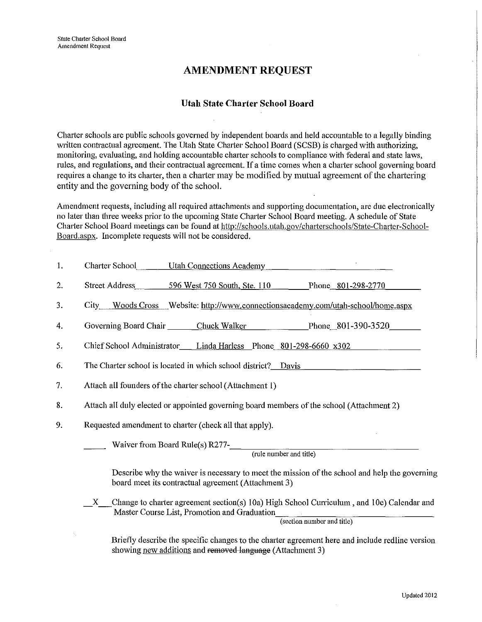# **AMENDMENT REQUEST**

### **Utah State Charter School Board**

Charter schools are public schools governed by independent boards and held accountable to a legally binding written contractual agreement. The Utah State Charter School Board (SCSB) is charged with authorizing, monitoring, evaluating, and holding accountable charter schools to compliance with federal and state laws, rules, and regulations, and their contractual agreement. If a time comes when a charter school governing board requires a change to its charter, then a charter may be modified by mutual agreement of the chartering entity and the governing body of the school.

Amendment requests, including all required attachments and supporting documentation, are due electronically no later than three weeks prior to the upcoming State Charter School Board meeting. A schedule of State Charter School Board meetings can be found at http://schools.utah.gov/charterschools/State-Charter-School-Board.aspx. Incomplete requests will not be considered.

| 1. | Charter School Utah Connections Academy                                                                                                                                                 |  |  |  |  |  |
|----|-----------------------------------------------------------------------------------------------------------------------------------------------------------------------------------------|--|--|--|--|--|
| 2. | Street Address 596 West 750 South, Ste. 110 Phone 801-298-2770                                                                                                                          |  |  |  |  |  |
| 3. | City Woods Cross Website: http://www.connectionsacademy.com/utah-school/home.aspx                                                                                                       |  |  |  |  |  |
| 4. | Governing Board Chair Chuck Walker Phone 801-390-3520                                                                                                                                   |  |  |  |  |  |
| 5. | Chief School Administrator Linda Harless Phone 801-298-6660 x302                                                                                                                        |  |  |  |  |  |
| 6. | The Charter school is located in which school district? Davis                                                                                                                           |  |  |  |  |  |
| 7. | Attach all founders of the charter school (Attachment 1)                                                                                                                                |  |  |  |  |  |
| 8. | Attach all duly elected or appointed governing board members of the school (Attachment 2)                                                                                               |  |  |  |  |  |
| 9. | Requested amendment to charter (check all that apply).                                                                                                                                  |  |  |  |  |  |
|    | Waiver from Board Rule(s) $R277$ -<br>(rule number and title)                                                                                                                           |  |  |  |  |  |
|    | Describe why the waiver is necessary to meet the mission of the school and help the governing<br>board meet its contractual agreement (Attachment 3)                                    |  |  |  |  |  |
|    | Change to charter agreement section(s) 10a) High School Curriculum, and 10e) Calendar and<br>$\mathbf{X}$<br>Master Course List, Promotion and Graduation<br>(section number and title) |  |  |  |  |  |
| ٦, | Briefly describe the specific changes to the charter agreement here and include redline version<br>showing new additions and removed language (Attachment 3)                            |  |  |  |  |  |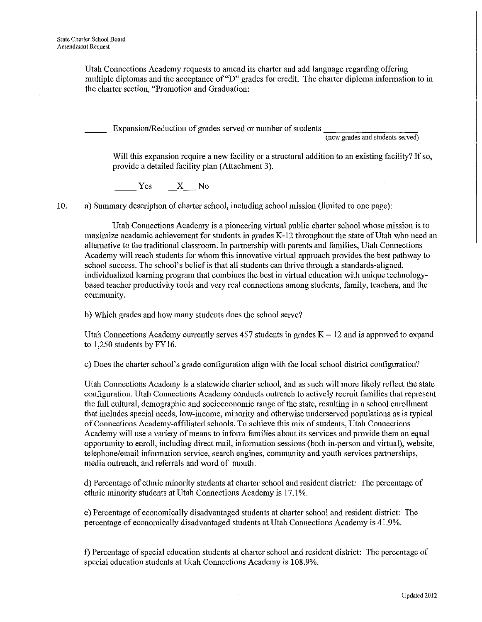Utah Connections Academy requests to amend its charter and add language regarding offering multiple diplomas and the acceptance of "D" grades for credit. The charter diploma information to in the charter section, "Promotion and Graduation:

Expansion/Reduction of grades served or number of students

**(new grades and students served)** 

Will this expansion require a new facility or a structural addition to an existing facility? If so, provide a detailed facility plan (Attachment 3).

Yes X No

10. a) Summary description of charter school, including school mission (limited to one page):

Utah Connections Academy is a pioneering virtual public charter school whose mission is to maximize academic achievement for students in grades K-12 throughout the state of Utah who need an alternative to the traditional classroom. In pattnership with parents and families, Utah Connections Academy will reach students for whom this innovative vittual approach provides the best pathway to school success. The school's belief is that all students can thrive through a standards-aligned, individualized learning program that combines the best in vittual education with unique technologybased teacher productivity tools and very real connections among students, family, teachers, and the community.

b) Which grades and how many students does the school serve?

Utah Connections Academy currently serves 457 students in grades  $K - 12$  and is approved to expand to 1,250 students by FY16.

c) Does the charter school's grade configuration align with the local school district configuration?

Utah Connections Academy is a statewide charter school, and as such will more likely reflect the state configuration. Utah Connections Academy conducts outreach to actively recmit families that represent the full cultural, demographic and socioeconomic range of the state, resulting in a school enrollment that includes special needs, low-income, minority and otherwise underserved populations as is typical of Connections Academy-affiliated schools. To achieve this mix of students, Utah Connections Academy will use a variety of means to infonn families about its services and provide them an equal opportunity to enroll, including direct mail, information sessions (both in-person and virtual), website, telephone/email information service, search engines, community and youth services partnerships, media outreach, and referrals and word of mouth.

d) Percentage of ethnic minority students at charter school and resident district: The percentage of ethnic minority students at Utah Connections Academy is 17.1%.

e) Percentage of economically disadvantaged students at chatter school and resident district: The percentage of economically disadvantaged students at Utah Connections Academy is 41.9%.

f) Percentage of special education students at charter school and resident district: The percentage of special education students at Utah Connections Academy is 108.9%.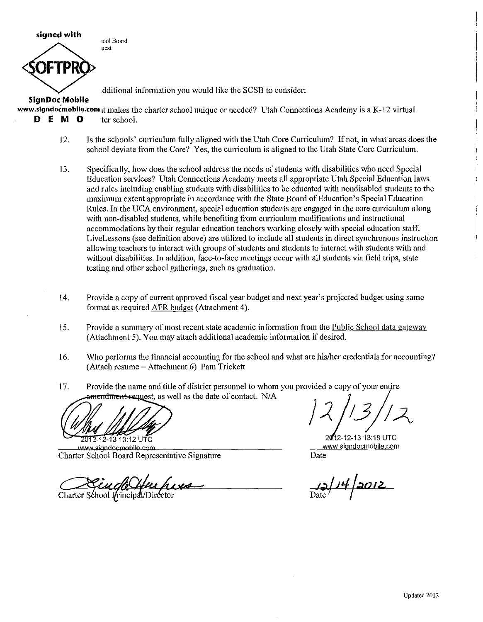**signed with** 

**1001 Board uest** 

.dditional information yon would like the SCSB to consider:

**SlgnDoc Mobile** 

www.signdocmobile.com it makes the charter school unique or needed? Utah Connections Academy is a K-12 virtual **D E M 0** ter school.

- 12. Is the schools' curriculum fully aligned with the Utah Core Curriculum? If not, in what areas does the school deviate from the Core? Yes, the curriculum is aligned to the Utah State Core Curriculum.
- 13. Specifically, how does the school address the needs of students with disabilities who need Special Education services? Utah Connections Academy meets all appropriate Utah Special Education laws and rules including enabling students with disabilities to be educated with nondisabled students to the maximum extent appropriate in accordance with the State Board of Education's Special Education Rules. In the UCA enviromnent, special education students are engaged in the core curriculum along with non-disabled students, while benefiting from curriculum modifications and instructional accommodations by their regular education teachers working closely with special education staff. LiveLessons (see definition above) are utilized to include all students in direct synchronous instruction allowing teachers to interact with groups of students and students to interact with students with and without disabilities. In addition, face-to-face meetings occur with all students via field trips, state testing and other school gatherings, such as graduation.
- 14. Provide a copy of current approved fiscal year budget and next year's projected budget using same format as required AFR budget (Attachment 4).
- 15. Provide a summary of most recent state academic information from the Public School data gateway (Attachment 5). You may attach additional academic information if desired.
- 16. Who performs the financial accounting for the school and what are his/her credentials for accounting? (Attach resume- Attachment 6) Pam Trickett
- 17. Provide the name and title of district personnel to whom you provided a copy of your entire amendment request, as well as the date of contact. N/A

2012-12-13 13:12 UTC

www.siandocmobile.com Charter School Board Representative Signature

Charter School Principal/Director

2012-12-13 13:18 UTC **www.signdocmobile.com** 

Date

~I *;tJ* !;,,<-  $\overline{\text{Date}}$  /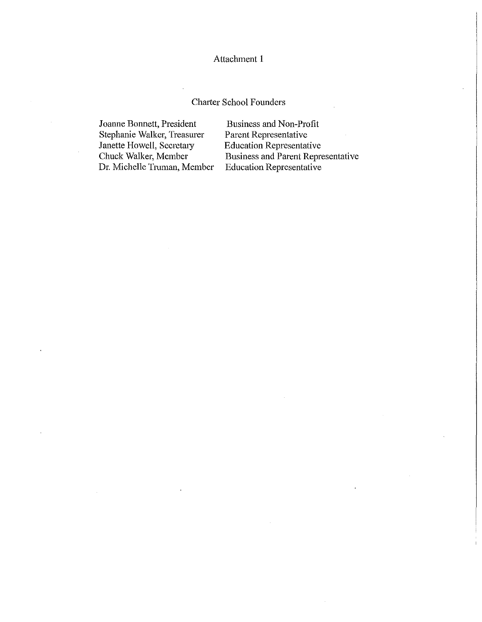# Charter School Founders

Joanne Bonnett, President Stephanie Walker, Treasurer Janette Howell, Secretary Chuck Walker, Member Dr. Michelle Truman, Member

Business and Non-Profit Parent Representative Education Representative Business and Parent Representative Education Representative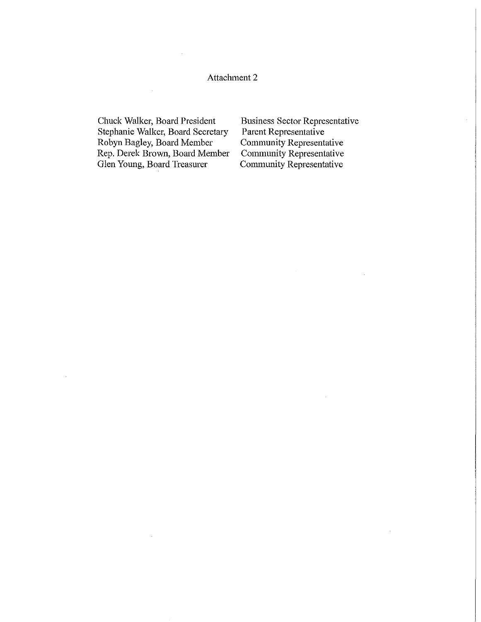Chuck Walker, Board President Stephanie Walker, Board Secretary Robyn Bagley, Board Member Rep. Derek Brown, Board Member Glen Young, Board Treasurer

Business Sector Representative Parent Representative Community Representative Community Representative Community Representative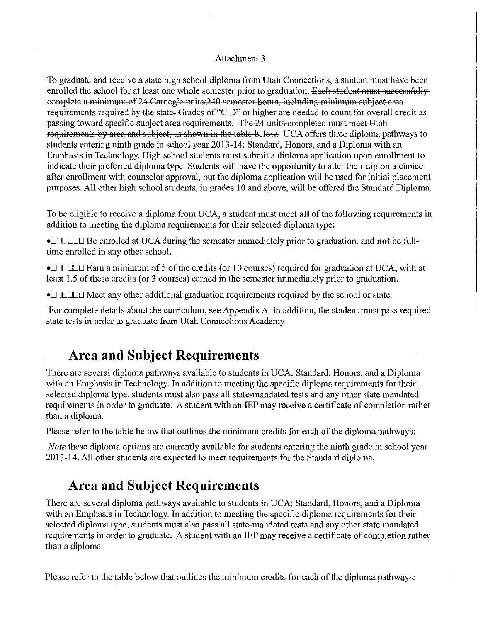To graduate and receive a state high school diploma from Utah Connections, a student must have been enrolled the school for at least one whole semester prior to graduation. Each student must successfullyeomplete a minimum of 24 Carnegie units/240 semester hours, including minimum subject area requirements required by the state. Grades of " $\oplus$  D" or higher are needed to count for overall credit as passing toward specific subject area requirements. The 24 units eompleted must meet Utah requirements by area and subject, as shown in the table below. UCA offers three diploma pathways to students entering ninth grade in school year 2013-14: Standard, Honors, and a Diploma with an Emphasis in Technology. High school students must submit a diploma application upon enrollment to indicate their preferred diploma type. Students will have the opportunity to alter their diploma choice after enrollment with counselor approval, but the diploma application will be used for initial placement purposes. All other high school students, in grades 10 and above, will be offered the Standard Diploma.

To be eligible to receive a diploma from UCA, a student must meet **all** of the following requirements in addition to meeting the diploma requirements for their selected diploma type:

•DDDDDD Be emolled at UCA during the semester immediately prior to graduation, and **not** be fulltime emolled in any other school.

• $\Box$  $\Box$  $\Box$  Earn a minimum of 5 of the credits (or 10 courses) required for graduation at UCA, with at least 1.5 of these credits (or 3 courses) earned in the semester immediately prior to graduation.

•**DODDED** Meet any other additional graduation requirements required by the school or state.

For complete details about the curriculum, see Appendix A. In addition, the student must pass required state tests in order to graduate from Utah Connections Academy

# **Area and Subject Requirements**

There are several diploma pathways available to students in UCA: Standard, Honors, and a Diploma with an Emphasis in Technology. In addition to meeting the specific diploma requirements for their selected diploma type, students must also pass all state-mandated tests and any other state mandated requirements in order to graduate. A student with an IEP may receive a cetiificate of completion rather than a diploma.

Please refer to the table below that outlines the minimum credits for each of the diploma pathways:

*Note* these diploma options are currently available for students entering the ninth grade in school year 2013-14. All other students are expected to meet requirements for the Standard diploma.

# **Area and Subject Requirements**

There are several diploma pathways available to students in UCA: Standard, Honors, and a Diploma with an Emphasis in Technology. In addition to meeting the specific diploma requirements for their selected diploma type, students must also pass all state-mandated tests and any other state mandated requirements in order to graduate. A student with an IEP may receive a certificate of completion rather than a diploma.

Please refer to the table below that outlines the minimum credits for each of the diploma pathways: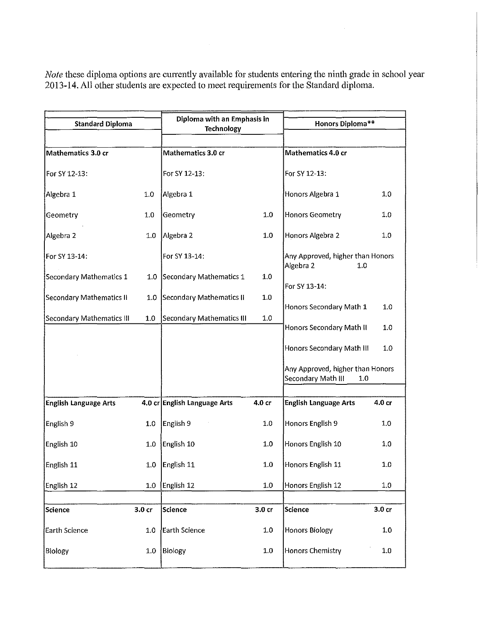*Note* these diploma options are currently available for students entering the ninth grade in school year 2013-14. All other students are expected to meet requirements for the Standard diploma.

 $\hat{\boldsymbol{\beta}}$ 

| <b>Standard Diploma</b>   |         | Diploma with an Emphasis in<br><b>Technology</b> |                   | Honors Diploma**                                              |         |
|---------------------------|---------|--------------------------------------------------|-------------------|---------------------------------------------------------------|---------|
|                           |         |                                                  |                   |                                                               |         |
| Mathematics 3.0 cr        |         | Mathematics 3.0 cr                               |                   | Mathematics 4.0 cr                                            |         |
| For SY 12-13:             |         | For SY 12-13:                                    |                   | For SY 12-13:                                                 |         |
| Algebra 1                 | $1.0\,$ | Algebra 1                                        |                   | Honors Algebra 1                                              | 1,0     |
| Geometry                  | 1.0     | Geometry                                         | $1.0\,$           | <b>Honors Geometry</b>                                        | $1.0\,$ |
| Algebra 2                 | 1.0     | Algebra 2                                        | 1.0               | Honors Algebra 2                                              | 1.0     |
| For SY 13-14:             |         | For SY 13-14:                                    |                   | Any Approved, higher than Honors<br>Algebra 2<br>1.0          |         |
| Secondary Mathematics 1   | 1.0     | Secondary Mathematics 1                          | 1.0               | For SY 13-14:                                                 |         |
| Secondary Mathematics II  | 1.0     | Secondary Mathematics II                         | $1.0\,$           | Honors Secondary Math 1                                       | 1.0     |
| Secondary Mathematics III | 1.0     | <b>Secondary Mathematics III</b>                 | $1.0$             | Honors Secondary Math II                                      | 1.0     |
|                           |         |                                                  |                   | Honors Secondary Math III                                     | 1.0     |
|                           |         |                                                  |                   | Any Approved, higher than Honors<br>Secondary Math III<br>1.0 |         |
|                           |         |                                                  |                   |                                                               |         |
| English Language Arts     |         | 4.0 cr English Language Arts                     | 4.0 cr            | <b>English Language Arts</b>                                  | 4.0 cr  |
| English 9                 | 1.0     | English 9                                        | 1.0               | Honors English 9                                              | 1.0     |
| English 10                | 1.0     | English 10                                       | 1.0               | Honors English 10                                             | 1.0     |
| English 11                |         | 1.0 $\left $ English 11                          | 1.0               | Honors English 11                                             | 1.0     |
| English 12                | 1.0     | English 12                                       | 1.0               | Honors English 12                                             | 1,0     |
|                           |         |                                                  |                   |                                                               |         |
| Science                   | 3.0 cr  | <b>Science</b>                                   | 3.0 <sub>cr</sub> | <b>Science</b>                                                | 3.0 cr  |
| Earth Science             | 1.0     | Earth Science                                    | $1.0\,$           | Honors Biology                                                | 1.0     |
| Biology                   | 1.0     | Biology                                          | 1.0               | <b>Honors Chemistry</b>                                       | $1.0\,$ |
|                           |         |                                                  |                   |                                                               |         |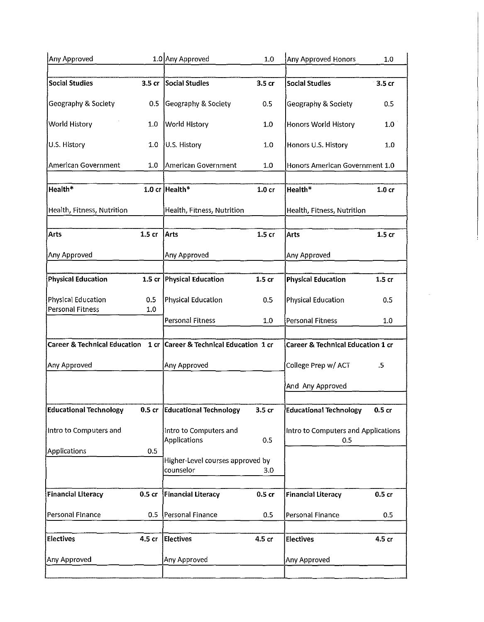| Any Approved                            |                   | 1.0 Any Approved                              | 1.0               | Any Approved Honors                        | 1.0               |
|-----------------------------------------|-------------------|-----------------------------------------------|-------------------|--------------------------------------------|-------------------|
| <b>Social Studies</b>                   |                   |                                               |                   |                                            |                   |
|                                         | 3.5 <sub>cr</sub> | Social Studies                                | 3.5 cr            | <b>Social Studies</b>                      | 3.5 cr            |
| Geography & Society                     | 0.5               | Geography & Society                           | 0.5               | Geography & Society                        | 0.5               |
| World History                           | 1.0               | <b>World History</b>                          | 1.0               | Honors World History                       | 1.0               |
| U.S. History                            | 1.0               | U.S. History                                  | 1.0               | Honors U.S. History                        | 1.0               |
| American Government                     | 1.0               | American Government                           | 1.0               | Honors American Government 1.0             |                   |
| Health*                                 |                   | 1.0 cr Health*                                | 1.0 <sub>cr</sub> | Health*                                    | 1.0 <sub>cr</sub> |
| Health, Fitness, Nutrition              |                   | Health, Fitness, Nutrition                    |                   | Health, Fitness, Nutrition                 |                   |
| Arts                                    | 1.5 <sub>cr</sub> | <b>Arts</b>                                   | 1.5 <sub>cr</sub> | Arts                                       | 1.5 <sub>cr</sub> |
| Any Approved                            |                   | Any Approved                                  |                   | Any Approved                               |                   |
| <b>Physical Education</b>               | 1.5 cr            | <b>Physical Education</b>                     | 1.5 <sub>cr</sub> | <b>Physical Education</b>                  | 1.5 <sub>cr</sub> |
|                                         |                   |                                               |                   |                                            |                   |
| Physical Education<br>Personal Fitness  | 0.5<br>1.0        | Physical Education                            | 0.5               | <b>Physical Education</b>                  | 0.5               |
|                                         |                   | <b>Personal Fitness</b>                       | 1.0               | <b>Personal Fitness</b>                    | 1.0               |
| <b>Career &amp; Technical Education</b> | 1 <sub>cr</sub>   | Career & Technical Education 1 cr             |                   | Career & Technical Education 1 cr          |                   |
| Any Approved                            |                   | Any Approved                                  |                   | College Prep w/ ACT                        | $.5\,$            |
|                                         |                   |                                               |                   | And Any Approved                           |                   |
| <b>Educational Technology</b>           | 0.5 <sub>cr</sub> | <b>Educational Technology</b>                 | 3.5 <sub>cr</sub> | <b>Educational Technology</b>              | 0.5 <sub>cr</sub> |
| Intro to Computers and                  |                   | Intro to Computers and<br>Applications        | 0.5               | Intro to Computers and Applications<br>0.5 |                   |
| <b>Applications</b>                     | 0.5               | Higher-Level courses approved by<br>counselor | 3.0               |                                            |                   |
| <b>Financial Literacy</b>               | 0.5 <sub>cr</sub> | <b>Financial Literacy</b>                     | 0.5 <sub>cr</sub> | <b>Financial Literacy</b>                  | 0.5 <sub>cr</sub> |
|                                         |                   |                                               |                   |                                            |                   |
| Personal Finance                        | 0.5               | Personal Finance                              | 0.5               | Personal Finance                           | 0.5               |
| <b>Electives</b>                        | 4.5 cr            | <b>Electives</b>                              | 4.5 cr            | <b>Electives</b>                           | 4.5 cr            |
| Any Approved                            |                   | Any Approved                                  |                   | Any Approved                               |                   |
|                                         |                   |                                               |                   |                                            |                   |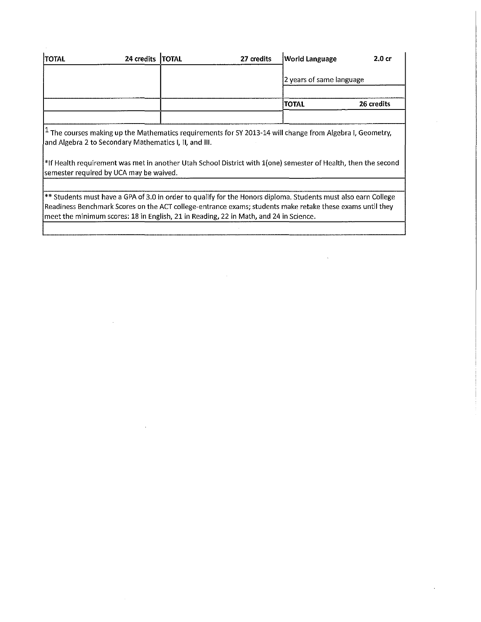| <b>TOTAL</b> | 24 credits   TOTAL | 27 credits | <b>World Language</b>    | 2.0 cr     |
|--------------|--------------------|------------|--------------------------|------------|
|              |                    |            | 2 years of same language |            |
|              |                    |            | TOTAL                    | 26 credits |
|              |                    |            |                          |            |

 $\boxed{1}$  The courses making up the Mathematics requirements for SY 2013-14 will change from Algebra I, Geometry, and Algebra 2 to Secondary Mathematics I, II, and **Ill.** 

\*If Health requirement was met in another Utah School District with 1(one) semester of Health, then the second semester required by UCA may be waived.

\*\* Students must have a GPA of 3.0 in order to qualify for the Honors diploma. Students must also earn College Readiness Benchmark Scores on the ACT college-entrance exams; students make retake these exams until they meet the minimum scores: 18 in English, 21 in Reading, 22 in Math, and 24 in Science.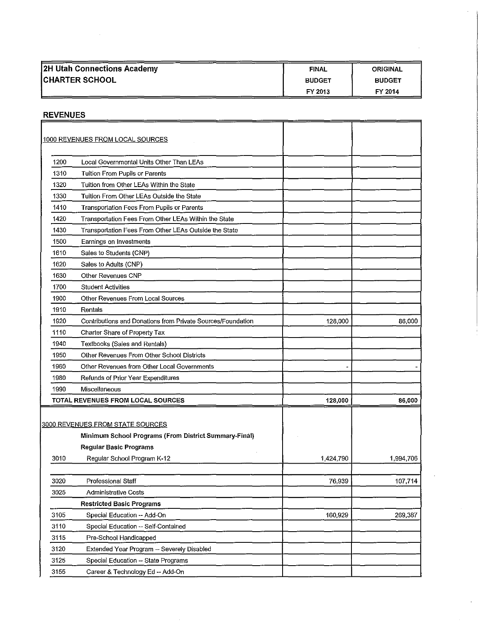| 2H Utah Connections Academy | <b>FINAL</b>  | <b>ORIGINAL</b> |
|-----------------------------|---------------|-----------------|
| <b>CHARTER SCHOOL</b>       | <b>BUDGET</b> | <b>BUDGET</b>   |
|                             | FY 2013       | FY 2014         |

# REVENUES

|      | 1000 REVENUES FROM LOCAL SOURCES                                                                                                  |           |           |
|------|-----------------------------------------------------------------------------------------------------------------------------------|-----------|-----------|
| 1200 | Local Governmental Units Other Than LEAs                                                                                          |           |           |
| 1310 | Tuition From Pupils or Parents                                                                                                    |           |           |
| 1320 | Tuition from Other LEAs Within the State                                                                                          |           |           |
| 1330 | Tuition From Other LEAs Outside the State                                                                                         |           |           |
| 1410 | Transportation Fees From Pupils or Parents                                                                                        |           |           |
| 1420 | Transportation Fees From Other LEAs Within the State                                                                              |           |           |
| 1430 | Transportation Fees From Other LEAs Outside the State                                                                             |           |           |
| 1500 | Earnings on Investments                                                                                                           |           |           |
| 1610 | Sales to Students (CNP)                                                                                                           |           |           |
| 1620 | Sales to Adults (CNP)                                                                                                             |           |           |
| 1630 | Other Revenues CNP                                                                                                                |           |           |
| 1700 | <b>Student Activities</b>                                                                                                         |           |           |
| 1900 | Other Revenues From Local Sources                                                                                                 |           |           |
| 1910 | Rentals                                                                                                                           |           |           |
| 1920 | Contributions and Donations from Private Sources/Foundation                                                                       | 128,000   | 86,000    |
| 1110 | Charter Share of Property Tax                                                                                                     |           |           |
| 1940 | Textbooks (Sales and Rentals)                                                                                                     |           |           |
| 1950 | Other Revenues From Other School Districts                                                                                        |           |           |
| 1960 | Other Revenues from Other Local Governments                                                                                       |           |           |
| 1980 | Refunds of Prior Year Expenditures                                                                                                |           |           |
| 1990 | Miscellaneous                                                                                                                     |           |           |
|      | TOTAL REVENUES FROM LOCAL SOURCES                                                                                                 | 128,000   | 86,000    |
|      | <b>3000 REVENUES FROM STATE SOURCES</b><br>Minimum School Programs (From District Summary-Final)<br><b>Regular Basic Programs</b> |           |           |
| 3010 | Regular School Program K-12                                                                                                       | 1,424,790 | 1,994,706 |
|      |                                                                                                                                   |           |           |
| 3020 | Professional Staff                                                                                                                | 76,939    | 107,714   |
| 3025 | <b>Administrative Costs</b>                                                                                                       |           |           |
|      | <b>Restricted Basic Programs</b>                                                                                                  |           |           |
| 3105 | Special Education -- Add-On                                                                                                       | 160,929   | 269,387   |
| 3110 | Special Education -- Self-Contained                                                                                               |           |           |
| 3115 | Pre-School Handicapped                                                                                                            |           |           |
| 3120 | Extended Year Program -- Severely Disabled                                                                                        |           |           |
| 3125 | Special Education -- State Programs                                                                                               |           |           |
| 3155 | Career & Technology Ed -- Add-On                                                                                                  |           |           |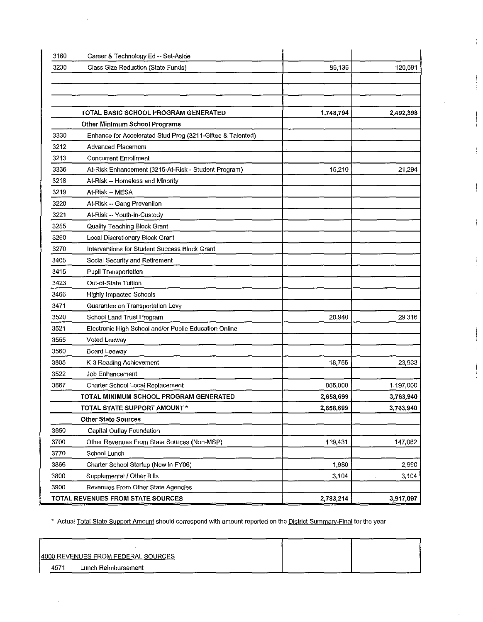| 3160 | Career & Technology Ed -- Set-Aside                        |           |           |
|------|------------------------------------------------------------|-----------|-----------|
| 3230 | Class Size Reduction (State Funds)                         | 86,136    | 120,591   |
|      |                                                            |           |           |
|      |                                                            |           |           |
|      |                                                            |           |           |
|      | TOTAL BASIC SCHOOL PROGRAM GENERATED                       | 1,748,794 | 2,492,398 |
|      | Other Minimum School Programs                              |           |           |
| 3330 | Enhance for Accelerated Stud Prog (3211-Gifted & Talented) |           |           |
| 3212 | <b>Advanced Placement</b>                                  |           |           |
| 3213 | <b>Concurrent Enrollment</b>                               |           |           |
| 3336 | At-Risk Enhancement (3215-At-Risk - Student Program)       | 15,210    | 21,294    |
| 3218 | At-Risk -- Homeless and Minority                           |           |           |
| 3219 | At-Risk -- MESA                                            |           |           |
| 3220 | At-Risk -- Gang Prevention                                 |           |           |
| 3221 | At-Risk -- Youth-in-Custody                                |           |           |
| 3255 | Quality Teaching Block Grant                               |           |           |
| 3260 | Local Discretionary Block Grant                            |           |           |
| 3270 | Interventions for Student Success Block Grant              |           |           |
| 3405 | Social Security and Retirement                             |           |           |
| 3415 | Pupil Transportation                                       |           |           |
| 3423 | Out-of-State Tuition                                       |           |           |
| 3466 | <b>Highly Impacted Schools</b>                             |           |           |
| 3471 | Guarantee on Transportation Levy                           |           |           |
| 3520 | School Land Trust Program                                  | 20,940    | 29,316    |
| 3521 | Electronic High School and/or Public Education Online      |           |           |
| 3555 | Voted Leeway                                               |           |           |
| 3560 | Board Leeway                                               |           |           |
| 3805 | K-3 Reading Achievement                                    | 18,755    | 23,933    |
| 3522 | <b>Job Enhancement</b>                                     |           |           |
| 3867 | Charter School Local Replacement                           | 855,000   | 1,197,000 |
|      | TOTAL MINIMUM SCHOOL PROGRAM GENERATED                     | 2,658,699 | 3,763,940 |
|      | TOTAL STATE SUPPORT AMOUNT *                               | 2,658,699 | 3,763,940 |
|      | <b>Other State Sources</b>                                 |           |           |
| 3650 | Capital Outlay Foundation                                  |           |           |
| 3700 | Other Revenues From State Sources (Non-MSP)                | 119,431   | 147,062   |
| 3770 | School Lunch                                               |           |           |
| 3866 | Charter School Startup (New in FY06)                       | 1,980     | 2,990     |
| 3800 | Supplemental / Other Bills                                 | 3,104     | 3,104     |
| 3900 | Revenues From Other State Agencies                         |           |           |
|      | TOTAL REVENUES FROM STATE SOURCES                          | 2,783,214 | 3,917,097 |

\* Actual Total State Support Amount should correspond with amount reported on the District Summarv-Final for the year

 $\bar{\nu}$ 

| 4000 REVENUES FROM FEDE <u>RAL S</u> OURC <u>ES</u> |  |
|-----------------------------------------------------|--|
| 4571<br>Lunch Reimbursement                         |  |

 $\epsilon$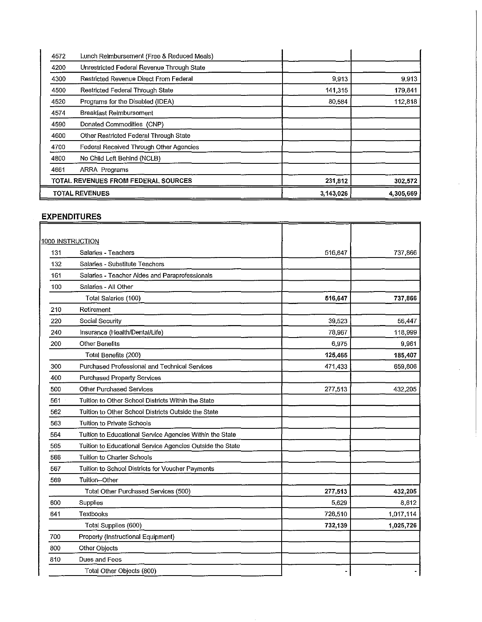| 4572 | Lunch Reimbursement (Free & Reduced Meals) |             |           |
|------|--------------------------------------------|-------------|-----------|
| 4200 | Unrestricted Federal Revenue Through State |             |           |
| 4300 | Restricted Revenue Direct From Federal     | 9,913       | 9,913     |
| 4500 | Restricted Federal Through State           | 141,315     | 179,841   |
| 4520 | Programs for the Disabled (IDEA)           | 80,584      | 112,818   |
| 4574 | Breakfast Reimbursement                    |             |           |
| 4590 | Donated Commodities (CNP)                  |             |           |
| 4600 | Other Restricted Federal Through State     |             |           |
| 4700 | Federal Received Through Other Agencies    |             |           |
| 4800 | No Child Left Behind (NCLB)                |             |           |
| 4661 | <b>ARRA Programs</b>                       |             |           |
|      | TOTAL REVENUES FROM FEDERAL SOURCES        | 231,812     | 302.572   |
|      | <b>TOTAL REVENUES</b>                      | 3, 143, 026 | 4,305,669 |

 $\ddot{\phantom{a}}$ 

# EXPENDITURES

|     | <u>1000 INSTRUCTION</u>                                   |         |           |
|-----|-----------------------------------------------------------|---------|-----------|
| 131 | Salaries - Teachers                                       | 516,647 | 737,866   |
| 132 | Salaries - Substitute Teachers                            |         |           |
| 161 | Salaries - Teacher Aides and Paraprofessionals            |         |           |
| 100 | Salaries - All Other                                      |         |           |
|     | Total Salaries (100)                                      | 516,647 | 737,866   |
| 210 | Retirement                                                |         |           |
| 220 | Social Security                                           | 39,523  | 56,447    |
| 240 | Insurance (Health/Dental/Life)                            | 78,967  | 118,999   |
| 200 | Other Benefits                                            | 6,975   | 9,961     |
|     | Total Benefits (200)                                      | 125,465 | 185,407   |
| 300 | Purchased Professional and Technical Services             | 471,433 | 659,806   |
| 400 | <b>Purchased Property Services</b>                        |         |           |
| 500 | Other Purchased Services                                  | 277,513 | 432,205   |
| 561 | Tuition to Other School Districts Within the State        |         |           |
| 562 | Tuition to Other School Districts Outside the State       |         |           |
| 563 | Tuition to Private Schools                                |         |           |
| 564 | Tuition to Educational Service Agencies Within the State  |         |           |
| 565 | Tuition to Educational Service Agencies Outside the State |         |           |
| 566 | Tuition to Charter Schools                                |         |           |
| 567 | Tuition to School Districts for Voucher Payments          |         |           |
| 569 | Tuition-Other                                             |         |           |
|     | Total Other Purchased Services (500)                      | 277,513 | 432,205   |
| 600 | Supplies                                                  | 5,629   | 8,612     |
| 641 | Textbooks                                                 | 726,510 | 1,017,114 |
|     | Total Supplies (600)                                      | 732,139 | 1,025,726 |
| 700 | Property (Instructional Equipment)                        |         |           |
| 800 | Other Objects                                             |         |           |
| 810 | Dues and Fees                                             |         |           |
|     | Total Other Objects (800)                                 |         |           |
|     |                                                           |         |           |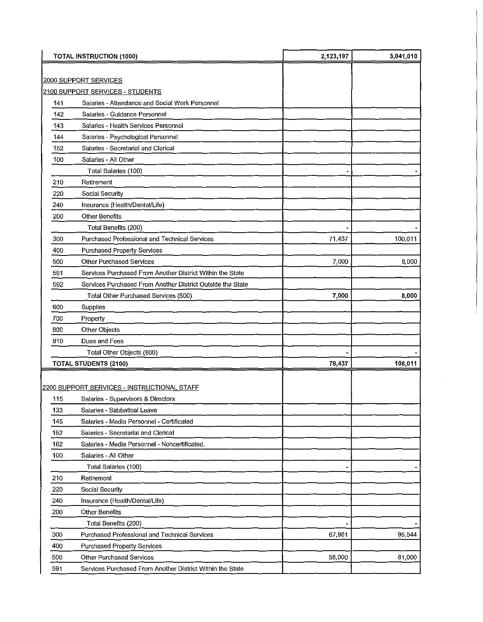| <b>TOTAL INSTRUCTION (1000)</b> |                                                            | 2,123,197 | 3,041,010 |
|---------------------------------|------------------------------------------------------------|-----------|-----------|
|                                 |                                                            |           |           |
|                                 | 2000 SUPPORT SERVICES                                      |           |           |
|                                 | 2100 SUPPORT SERVICES - STUDENTS                           |           |           |
| 141                             | Salaries - Attendance and Social Work Personnel            |           |           |
| 142                             | Salaries - Guidance Personnel                              |           |           |
| 143                             | Salaries - Health Services Personnel                       |           |           |
| 144                             | Salaries - Psychological Personnel                         |           |           |
| 152                             | Salaries - Secretarial and Clerical                        |           |           |
| 100                             | Salaries - All Other                                       |           |           |
|                                 | Total Salaries (100)                                       |           |           |
| 210                             | Retirement                                                 |           |           |
| 220                             | Social Security                                            |           |           |
| 240                             | Insurance (Health/Dental/Life)                             |           |           |
| 200                             | <b>Other Benefits</b>                                      |           |           |
|                                 | Total Benefits (200)                                       |           |           |
| 300                             | Purchased Professional and Technical Services              | 71,437    | 100,011   |
| 400                             | <b>Purchased Property Services</b>                         |           |           |
| 500                             | <b>Other Purchased Services</b>                            | 7,000     | 8,000     |
| 591                             | Services Purchased From Another District Within the State  |           |           |
| 592                             | Services Purchased From Another District Outside the State |           |           |
|                                 | Total Other Purchased Services (500)                       | 7,000     | 8,000     |
| 600                             | Supplies                                                   |           |           |
| 700                             | Property                                                   |           |           |
| 800                             | Other Objects                                              |           |           |
| 810                             | Dues and Fees                                              |           |           |
|                                 | Total Other Objects (800)                                  |           |           |
|                                 | <b>TOTAL STUDENTS (2100)</b>                               | 78,437    | 108,011   |
|                                 |                                                            |           |           |
|                                 | 2200 SUPPORT SERVICES - INSTRUCTIONAL STAFF                |           |           |
| 115                             | Salaries - Supervisors & Directors                         |           |           |
| 133                             | Salaries - Sabbatical Leave                                |           |           |
| 145                             | Salaries - Media Personnel - Certificated                  |           |           |
| 152                             | Salaries - Secretarial and Clerical                        |           |           |
| 162                             | Salaries - Media Personnel - Noncertificated,              |           |           |
| 100                             | Salaries - All Other                                       |           |           |
|                                 | Total Salaries (100)                                       |           |           |
| 210                             | Retirement                                                 |           |           |
| 220                             | Social Security                                            |           |           |
| 240                             | Insurance (Health/Dental/Life)                             |           |           |
| 200                             | <b>Other Benefits</b>                                      |           |           |
|                                 | Total Benefits (200)                                       |           |           |
| 300                             | Purchased Professional and Technical Services              | 67,961    | 95 544    |
| 400                             | Purchased Property Services                                |           |           |
| 500                             | <b>Other Purchased Services</b>                            | 58,000    | 81,000    |
| 591                             | Services Purchased From Another District Within the State  |           |           |
|                                 |                                                            |           |           |

 $\hat{\boldsymbol{\beta}}$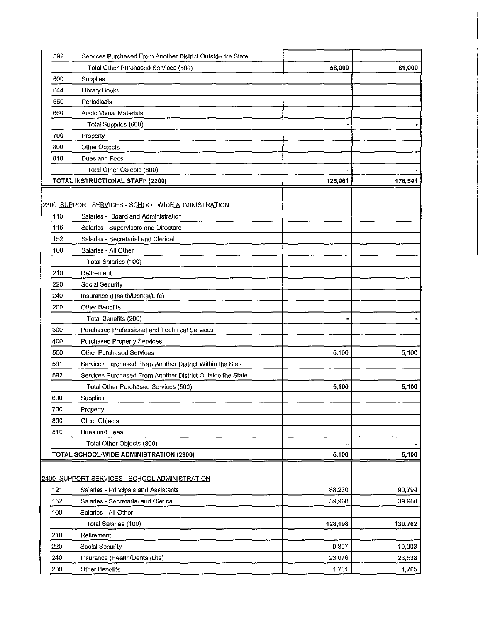| 592 | Services Purchased From Another District Outside the State |         |         |
|-----|------------------------------------------------------------|---------|---------|
|     | Total Other Purchased Services (500)                       | 58,000  | 81,000  |
| 600 | Supplies                                                   |         |         |
| 644 | <b>Library Books</b>                                       |         |         |
| 650 | Periodicals                                                |         |         |
| 660 | <b>Audio Visual Materials</b>                              |         |         |
|     | Total Supplies (600)                                       |         |         |
| 700 | Property                                                   |         |         |
| 800 | Other Objects                                              |         |         |
| 810 | Dues and Fees                                              |         |         |
|     | Total Other Objects (800)                                  |         |         |
|     | TOTAL INSTRUCTIONAL STAFF (2200)                           | 125,961 | 176,544 |
|     |                                                            |         |         |
|     | 2300 SUPPORT SERVICES - SCHOOL WIDE ADMINISTRATION         |         |         |
| 110 | Salaries - Board and Administration                        |         |         |
| 115 | Salaries - Supervisors and Directors                       |         |         |
| 152 | Salaries - Secretarial and Clerical                        |         |         |
| 100 | Salaries - All Other                                       |         |         |
|     | Total Salaries (100)                                       |         |         |
| 210 | Retirement                                                 |         |         |
| 220 | Social Security                                            |         |         |
| 240 | Insurance (Health/Dental/Life)                             |         |         |
| 200 | <b>Other Benefits</b>                                      |         |         |
|     | Total Benefits (200)                                       |         |         |
| 300 | Purchased Professional and Technical Services              |         |         |
| 400 | <b>Purchased Property Services</b>                         |         |         |
| 500 | <b>Other Purchased Services</b>                            | 5,100   | 5,100   |
| 591 | Services Purchased From Another District Within the State  |         |         |
| 592 | Services Purchased From Another District Outside the State |         |         |
|     | Total Other Purchased Services (500)                       | 5,100   | 5,100   |
| 600 | Supplies                                                   |         |         |
| 700 | Property                                                   |         |         |
| 800 | Other Objects                                              |         |         |
| 810 | Dues and Fees                                              |         |         |
|     | Total Other Objects (800)                                  |         |         |
|     | TOTAL SCHOOL-WIDE ADMINISTRATION (2300)                    | 5,100   | 5,100   |
|     |                                                            |         |         |
|     | 2400 SUPPORT SERVICES - SCHOOL ADMINISTRATION              |         |         |
| 121 | Salaries - Principals and Assistants                       | 88,230  | 90,794  |
| 152 | Salaries - Secretarial and Clerical                        | 39,968  | 39,968  |
| 100 | Salaries - All Other                                       |         |         |
|     | Total Salaries (100)                                       | 128,198 | 130,762 |
| 210 | Retirement                                                 |         |         |
| 220 | Social Security                                            | 9,807   | 10,003  |
| 240 | Insurance (Health/Dental/Life)                             | 23,076  | 23,538  |
| 200 | Other Benefits                                             | 1,731   | 1,765   |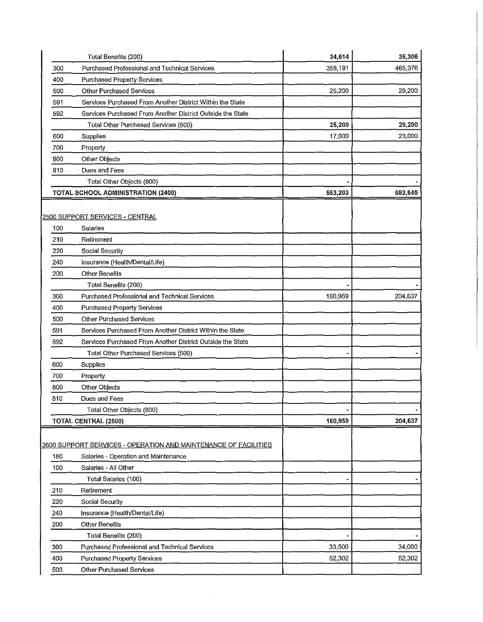|                   | Total Benefits (200)                                                         | 34,614  | 35,306  |
|-------------------|------------------------------------------------------------------------------|---------|---------|
| 300               | Purchased Professional and Technical Services                                | 358,191 | 465,376 |
| 400               | <b>Purchased Property Services</b>                                           |         |         |
| 500               | <b>Other Purchased Services</b>                                              | 25,200  | 29,200  |
| 591               | Services Purchased From Another District Within the State                    |         |         |
| 592               | Services Purchased From Another District Outside the State                   |         |         |
|                   | Total Other Purchased Services (500)                                         | 25,200  | 29,200  |
| 600               | Supplies                                                                     | 17,000  | 23,000  |
| 700               | Property                                                                     |         |         |
| 800               | Other Objects                                                                |         |         |
| 810               | Dues and Fees                                                                |         |         |
|                   | Total Other Objects (800)                                                    |         |         |
|                   | TOTAL SCHOOL ADMINISTRATION (2400)                                           | 563,203 | 683,645 |
| 100<br>210<br>220 | 2500 SUPPORT SERVICES - CENTRAL<br>Salaries<br>Retirement<br>Social Security |         |         |
| 240               | Insurance (Health/Dental/Life)                                               |         |         |
| 200               | <b>Other Benefits</b>                                                        |         |         |
|                   | Total Benefits (200)                                                         |         |         |
| 300               | Purchased Professional and Technical Services                                | 160,959 | 204,637 |
|                   |                                                                              |         |         |
| 400               | Purchased Property Services                                                  |         |         |
| 500               | <b>Other Purchased Services</b>                                              |         |         |
| 591               | Services Purchased From Another District Within the State                    |         |         |
| 592               | Services Purchased From Another District Outside the State                   |         |         |
|                   | Total Other Purchased Services (500)                                         |         |         |
| 600               | Supplies                                                                     |         |         |
| 700               | Property                                                                     |         |         |
| 800               | Other Objects                                                                |         |         |
| 810               | Dues and Fees                                                                |         |         |
|                   | Total Other Objects (800)                                                    |         |         |
|                   | TOTAL CENTRAL (2500)                                                         | 160,959 | 204,637 |
|                   | 2600 SUPPORT SERVICES - OPERATION AND MAINTENANCE OF FACILITIES              |         |         |
| 180<br>100        | Salaries - Operation and Maintenance<br>Salaries - All Other                 |         |         |
|                   |                                                                              |         |         |
| 210               | Total Salaries (100)<br>Retirement                                           |         |         |
|                   |                                                                              |         |         |
| 220               | Social Security                                                              |         |         |
| 240               | Insurance (Health/Dental/Life)                                               |         |         |
| 200               | <b>Other Benefits</b>                                                        |         |         |
|                   | Total Benefits (200)                                                         |         |         |
| 300               | Purchased Professional and Technical Services                                | 33,500  | 34,000  |
| 400               | <b>Purchased Property Services</b>                                           | 52,302  | 52,302  |
| 500               | Other Purchased Services                                                     |         |         |

 $\sim$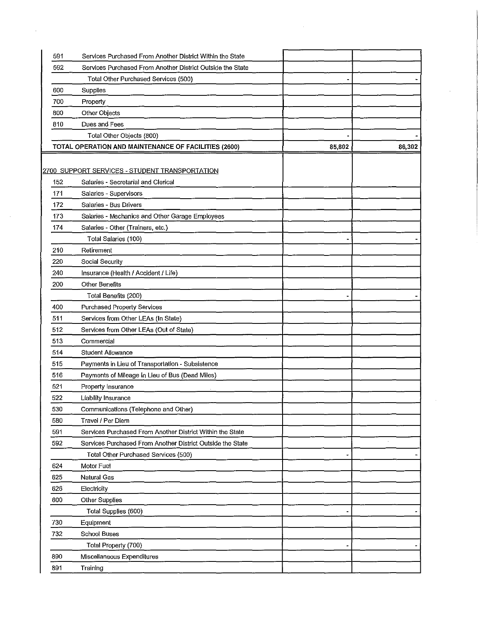| 591 | Services Purchased From Another District Within the State  |                                                                                                                                                                       |        |
|-----|------------------------------------------------------------|-----------------------------------------------------------------------------------------------------------------------------------------------------------------------|--------|
| 592 | Services Purchased From Another District Outside the State |                                                                                                                                                                       |        |
|     | Total Other Purchased Services (500)                       |                                                                                                                                                                       |        |
| 600 | Supplies                                                   |                                                                                                                                                                       |        |
| 700 | Property                                                   |                                                                                                                                                                       |        |
| 800 | Other Objects                                              |                                                                                                                                                                       |        |
| 810 | Dues and Fees                                              |                                                                                                                                                                       |        |
|     | Total Other Objects (800)                                  |                                                                                                                                                                       |        |
|     |                                                            | 85,802                                                                                                                                                                | 86,302 |
|     |                                                            |                                                                                                                                                                       |        |
|     |                                                            |                                                                                                                                                                       |        |
| 152 | Salaries - Secretarial and Clerical                        |                                                                                                                                                                       |        |
| 171 | Salaries - Supervisors                                     |                                                                                                                                                                       |        |
| 172 | Salaries - Bus Drivers                                     |                                                                                                                                                                       |        |
| 173 | Salaries - Mechanics and Other Garage Employees            |                                                                                                                                                                       |        |
| 174 | Salaries - Other (Trainers, etc.)                          |                                                                                                                                                                       |        |
|     | Total Salaries (100)                                       |                                                                                                                                                                       |        |
| 210 | Retirement                                                 |                                                                                                                                                                       |        |
| 220 | Social Security                                            |                                                                                                                                                                       |        |
| 240 | Insurance (Health / Accident / Life)                       |                                                                                                                                                                       |        |
| 200 | <b>Other Benefits</b>                                      |                                                                                                                                                                       |        |
|     | Total Benefits (200)                                       |                                                                                                                                                                       |        |
| 400 | Purchased Property Services                                |                                                                                                                                                                       |        |
| 511 | Services from Other LEAs (In State)                        |                                                                                                                                                                       |        |
| 512 | Services from Other LEAs (Out of State)                    |                                                                                                                                                                       |        |
| 513 | Commercial                                                 |                                                                                                                                                                       |        |
| 514 | <b>Student Allowance</b>                                   |                                                                                                                                                                       |        |
| 515 | Payments in Lieu of Transportation - Subsistence           |                                                                                                                                                                       |        |
| 516 | Payments of Mileage in Lieu of Bus (Dead Miles)            |                                                                                                                                                                       |        |
| 521 | Property Insurance                                         |                                                                                                                                                                       |        |
| 522 |                                                            |                                                                                                                                                                       |        |
| 530 |                                                            |                                                                                                                                                                       |        |
| 580 | Travel / Per Diem                                          |                                                                                                                                                                       |        |
| 591 | Services Purchased From Another District Within the State  |                                                                                                                                                                       |        |
| 592 | Services Purchased From Another District Outside the State |                                                                                                                                                                       |        |
|     | Total Other Purchased Services (500)                       |                                                                                                                                                                       |        |
| 624 | Motor Fuel                                                 |                                                                                                                                                                       |        |
| 625 | Natural Gas                                                |                                                                                                                                                                       |        |
| 626 | Electricity                                                |                                                                                                                                                                       |        |
| 600 | Other Supplies                                             |                                                                                                                                                                       |        |
|     | Total Supplies (600)                                       |                                                                                                                                                                       |        |
| 730 | Equipment                                                  |                                                                                                                                                                       |        |
| 732 | <b>School Buses</b>                                        |                                                                                                                                                                       |        |
|     | Total Property (700)                                       |                                                                                                                                                                       |        |
| 890 | Miscellaneous Expenditures                                 |                                                                                                                                                                       |        |
|     | Training                                                   |                                                                                                                                                                       |        |
|     | 891                                                        | TOTAL OPERATION AND MAINTENANCE OF FACILITIES (2600)<br>2700 SUPPORT SERVICES - STUDENT TRANSPORTATION<br>Liability Insurance<br>Communications (Telephone and Other) |        |

 $\sim 10^{-1}$ 

 $\mathcal{L}_{\mathcal{A}}$ 

 $\mathcal{A}$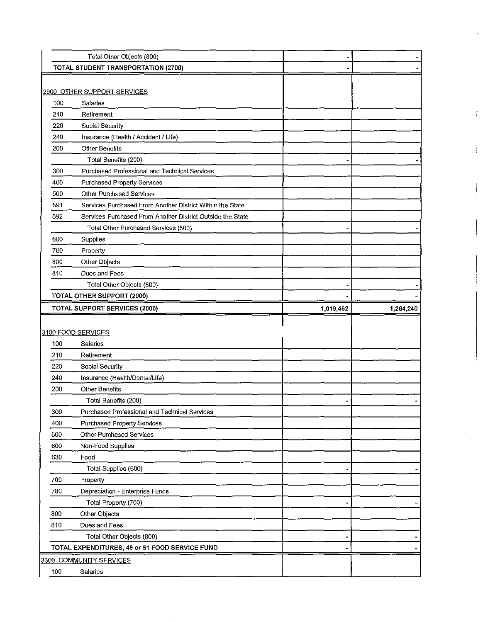|     | Total Other Objects (800)                                  |           |           |
|-----|------------------------------------------------------------|-----------|-----------|
|     | TOTAL STUDENT TRANSPORTATION (2700)                        |           |           |
|     |                                                            |           |           |
|     | 2900 OTHER SUPPORT SERVICES                                |           |           |
| 100 | Salaries                                                   |           |           |
| 210 | Retirement                                                 |           |           |
| 220 | Social Security                                            |           |           |
| 240 | Insurance (Health / Accident / Life)                       |           |           |
| 200 | <b>Other Benefits</b>                                      |           |           |
|     | Total Benefits (200)                                       |           |           |
| 300 | Purchased Professional and Technical Services              |           |           |
| 400 | Purchased Property Services                                |           |           |
| 500 | Other Purchased Services                                   |           |           |
| 591 | Services Purchased From Another District Within the State  |           |           |
| 592 | Services Purchased From Another District Outside the State |           |           |
|     | Total Other Purchased Services (500)                       |           |           |
| 600 | Supplies                                                   |           |           |
| 700 | Property                                                   |           |           |
| 800 | Other Objects                                              |           |           |
| 810 | Dues and Fees                                              |           |           |
|     | Total Other Objects (800)                                  |           |           |
|     | <b>TOTAL OTHER SUPPORT (2900)</b>                          |           |           |
|     | <b>TOTAL SUPPORT SERVICES (2000)</b>                       | 1,019,462 | 1,264,240 |
|     |                                                            |           |           |
|     |                                                            |           |           |
|     | 3100 FOOD SERVICES                                         |           |           |
| 100 | Salaries                                                   |           |           |
| 210 | Retirement                                                 |           |           |
| 220 | Social Security                                            |           |           |
| 240 | Insurance (Health/Dental/Life)                             |           |           |
| 200 | <b>Other Benefits</b>                                      |           |           |
|     | Total Benefits (200)                                       |           |           |
| 300 | Purchased Professional and Technical Services              |           |           |
| 400 | <b>Purchased Property Services</b>                         |           |           |
| 500 | Other Purchased Services                                   |           |           |
| 600 | Non-Food Supplies                                          |           |           |
| 630 | Food                                                       |           |           |
|     | Total Supplies (600)                                       |           |           |
| 700 | Property                                                   |           |           |
| 780 | Depreciation - Enterprise Funds                            |           |           |
|     | Total Property (700)                                       |           |           |
| 800 | Other Objects                                              |           |           |
| 810 | Dues and Fees                                              |           |           |
|     | Total Other Objects (800)                                  |           |           |
|     | TOTAL EXPENDITURES, 49 or 51 FOOD SERVICE FUND             |           |           |
|     | 3300 COMMUNITY SERVICES                                    |           |           |

 $\hat{\epsilon}$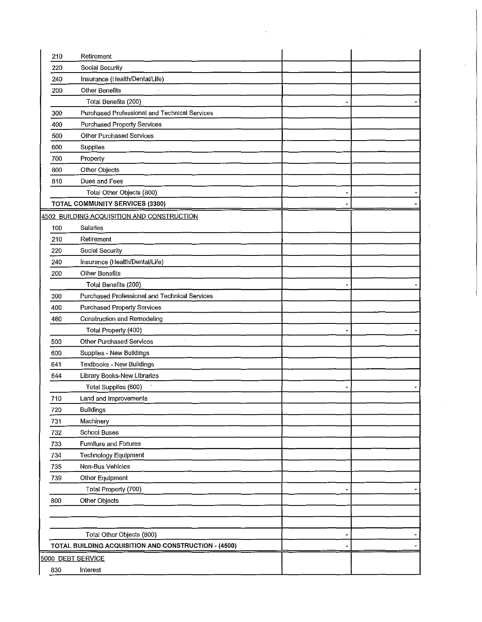| 210 | Retirement                                           |   |  |
|-----|------------------------------------------------------|---|--|
| 220 | Social Security                                      |   |  |
| 240 | Insurance (Health/Dental/Life)                       |   |  |
| 200 | <b>Other Benefits</b>                                |   |  |
|     | Total Benefits (200)                                 |   |  |
| 300 | Purchased Professional and Technical Services        |   |  |
| 400 | Purchased Property Services                          |   |  |
| 500 | Other Purchased Services                             |   |  |
| 600 | Supplies                                             |   |  |
| 700 | Property                                             |   |  |
| 800 | Other Objects                                        |   |  |
| 810 | Dues and Fees                                        |   |  |
|     | Total Other Objects (800)                            |   |  |
|     | <b>TOTAL COMMUNITY SERVICES (3300)</b>               |   |  |
|     | 4502 BUILDING ACQUISITION AND CONSTRUCTION           |   |  |
| 100 | Salaries                                             |   |  |
| 210 | Retirement                                           |   |  |
| 220 | Social Security                                      |   |  |
| 240 | Insurance (Health/Dental/Life)                       |   |  |
| 200 | <b>Other Benefits</b>                                |   |  |
|     | Total Benefits (200)                                 |   |  |
| 300 | Purchased Professional and Technical Services        |   |  |
| 400 | <b>Purchased Property Services</b>                   |   |  |
| 460 | Construction and Remodeling                          |   |  |
|     | Total Property (400)                                 |   |  |
| 500 | Other Purchased Services                             |   |  |
| 600 | Supplies - New Buildings                             |   |  |
| 641 | Textbooks - New Buildings                            |   |  |
| 644 | Library Books-New Libraries                          |   |  |
|     | Total Supplies (600)                                 |   |  |
| 710 | Land and Improvements                                |   |  |
| 720 | Buildings                                            |   |  |
| 731 | Machinery                                            |   |  |
| 732 | School Buses                                         |   |  |
| 733 | Furniture and Fixtures                               |   |  |
| 734 | Technology Equipment                                 |   |  |
| 735 | Non-Bus Vehicles                                     |   |  |
| 739 | Other Equipment                                      |   |  |
|     | Total Property (700)                                 |   |  |
| 800 | Other Objects                                        |   |  |
|     |                                                      |   |  |
|     |                                                      |   |  |
|     | Total Other Objects (800)                            | - |  |
|     | TOTAL BUILDING ACQUISITION AND CONSTRUCTION - (4500) |   |  |
|     | 5000 DEBT SERVICE                                    |   |  |
| 830 | Interest                                             |   |  |
|     |                                                      |   |  |

 $\label{eq:2.1} \mathcal{L}(\mathcal{L}^{\text{max}}_{\mathcal{L}}(\mathcal{L}^{\text{max}}_{\mathcal{L}})) \leq \mathcal{L}(\mathcal{L}^{\text{max}}_{\mathcal{L}}(\mathcal{L}^{\text{max}}_{\mathcal{L}}))$ 

 $\mathcal{A}^{\mathcal{A}}$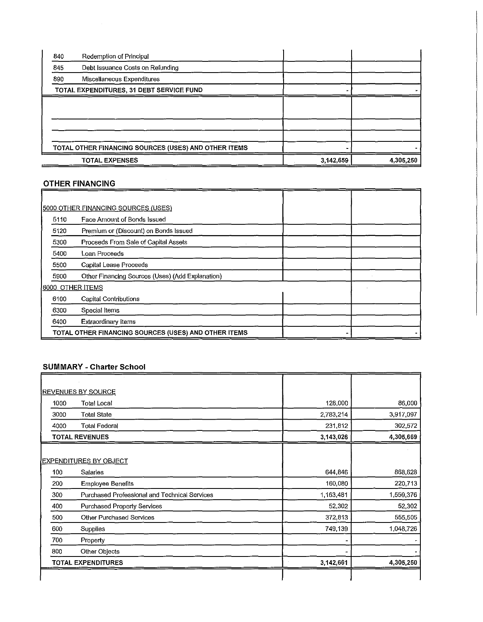| 840 | Redemption of Principal                              |           |           |
|-----|------------------------------------------------------|-----------|-----------|
| 845 | Debt Issuance Costs on Refunding                     |           |           |
| 890 | Miscellaneous Expenditures                           |           |           |
|     | TOTAL EXPENDITURES, 31 DEBT SERVICE FUND             |           |           |
|     |                                                      |           |           |
|     |                                                      |           |           |
|     |                                                      |           |           |
|     |                                                      |           |           |
|     | TOTAL OTHER FINANCING SOURCES (USES) AND OTHER ITEMS |           |           |
|     | <b>TOTAL EXPENSES</b>                                | 3,142,659 | 4,305,250 |

 $\bar{z}$ 

# OTHER FINANCING

|                  | 5000 OTHER FINANCING SOURCES (USES)                  |  |  |
|------------------|------------------------------------------------------|--|--|
| 5110             | Face Amount of Bonds Issued                          |  |  |
| 5120             | Premium or (Discount) on Bonds Issued                |  |  |
| 5300             | Proceeds From Sale of Capital Assets                 |  |  |
| 5400             | Loan Proceeds                                        |  |  |
| 5500             | Capital Lease Proceeds                               |  |  |
| 5900             | Other Financing Sources (Uses) (Add Explanation)     |  |  |
| 6000 OTHER ITEMS |                                                      |  |  |
| 6100             | <b>Capital Contributions</b>                         |  |  |
| 6300             | Special Items                                        |  |  |
| 6400             | <b>Extraordinary Items</b>                           |  |  |
|                  | TOTAL OTHER FINANCING SOURCES (USES) AND OTHER ITEMS |  |  |

# SUMMARY -Charter School

|      | <b>REVENUES BY SOURCE</b>                     |           |           |
|------|-----------------------------------------------|-----------|-----------|
| 1000 | Total Local                                   | 128,000   | 86,000    |
| 3000 | <b>Total State</b>                            | 2,783,214 | 3,917,097 |
| 4000 | <b>Total Federal</b>                          | 231,812   | 302,572   |
|      | <b>TOTAL REVENUES</b>                         | 3,143,026 | 4,305,669 |
|      |                                               |           |           |
|      | <u>EXPENDITURES BY OBJECT</u>                 |           |           |
| 100  | Salaries                                      | 644,846   | 868,628   |
| 200  | <b>Employee Benefits</b>                      | 160,080   | 220,713   |
| 300  | Purchased Professional and Technical Services | 1,163,481 | 1,559,376 |
| 400  | Purchased Property Services                   | 52,302    | 52,302    |
| 500  | <b>Other Purchased Services</b>               | 372,813   | 555,505   |
| 600  | Supplies                                      | 749,139   | 1,048,726 |
| 700  | Property                                      |           |           |
| 800  | Other Objects                                 |           |           |
|      | <b>TOTAL EXPENDITURES</b>                     | 3,142,661 | 4,305,250 |
|      |                                               |           |           |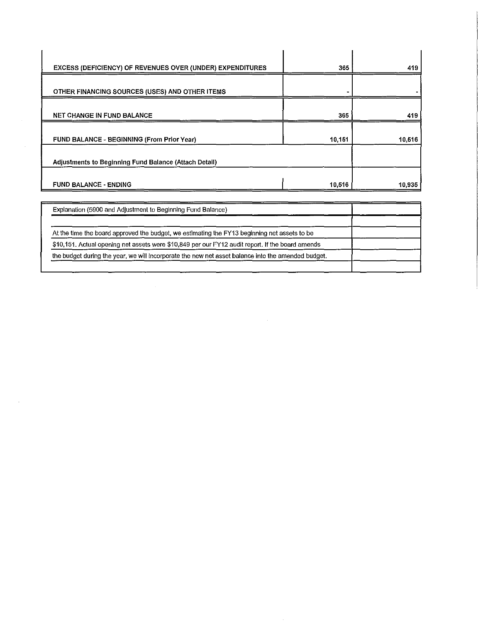| 365    | 419    |
|--------|--------|
|        |        |
| 365    | 419    |
| 10,151 | 10,516 |
|        |        |
|        | 10,935 |
|        | 10,516 |

| Explanation (5900 and Adjustment to Beginning Fund Balance)                                        |  |
|----------------------------------------------------------------------------------------------------|--|
|                                                                                                    |  |
| At the time the board approved the budget, we estimating the FY13 beginning net assets to be       |  |
| \$10,151. Actual opening net assets were \$10,849 per our FY12 audit report. If the board amends   |  |
| the budget during the year, we will incorporate the new net asset balance into the amended budget. |  |
|                                                                                                    |  |

 $\label{eq:2.1} \frac{1}{\sqrt{2}}\int_{\mathbb{R}^3}\frac{1}{\sqrt{2}}\left(\frac{1}{\sqrt{2}}\right)^2\left(\frac{1}{\sqrt{2}}\right)^2\left(\frac{1}{\sqrt{2}}\right)^2\left(\frac{1}{\sqrt{2}}\right)^2\left(\frac{1}{\sqrt{2}}\right)^2\left(\frac{1}{\sqrt{2}}\right)^2\left(\frac{1}{\sqrt{2}}\right)^2\left(\frac{1}{\sqrt{2}}\right)^2\left(\frac{1}{\sqrt{2}}\right)^2\left(\frac{1}{\sqrt{2}}\right)^2\left(\frac{1}{\sqrt{2}}\right)^2\left(\frac$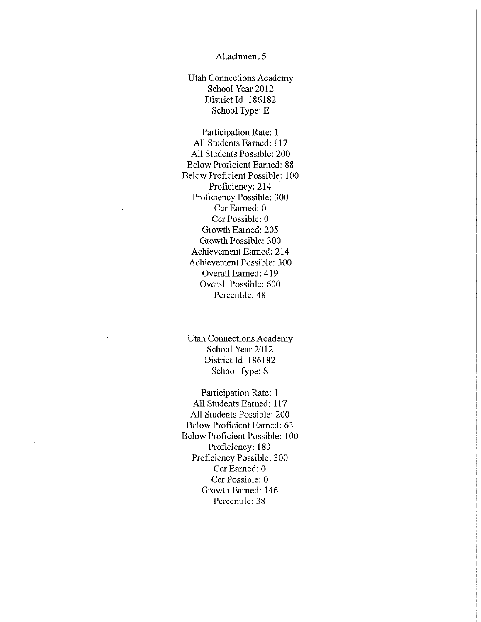Utah Connections Academy School Year 2012 District Id 186182 School Type: E

Participation Rate: 1 All Students Earned: 117 All Students Possible: 200 Below Proficient Eamed: 88 Below Proficient Possible: 100 Proficiency: 214 Proficiency Possible: 300 Ccr Earned: 0 Ccr Possible: 0 Growth Earned: 205 Growth Possible: 300 Achievement Eamed: 214 Achievement Possible: 300 Overall Earned: 419 Overall Possible: 600 Percentile: 48

Utah Connections Academy School Year 2012 District Id 186182 School Type: S

Participation Rate: 1 All Students Eamed: 117 All Students Possible: 200 Below Proficient Earned: 63 Below Proficient Possible: 100 Proficiency: 183 Proficiency Possible: 300 Ccr Earned: 0 Ccr Possible: 0 Growth Eamed: 146 Percentile: 38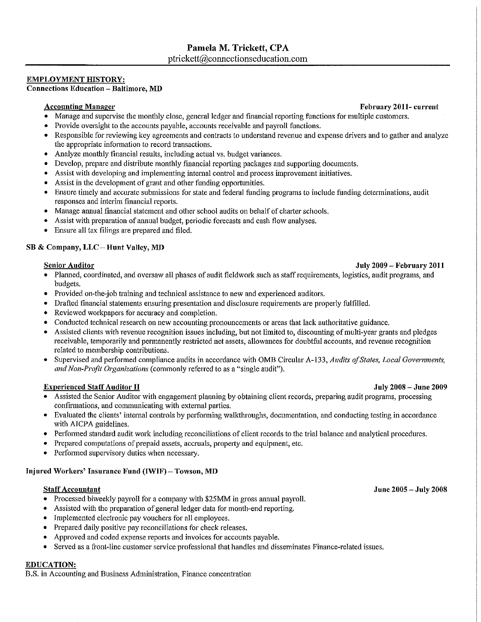## Pamela M. Trickett, CPA ptrickett@connectionseducation.com

#### EMPLOYMENT HISTORY:

**Connections Education- Baltimore, MD** 

- Manage and supervise the monthly close, general ledger and financial reporting functions for multiple customers.
- Provide oversight to the accounts payable, accounts receivable and payroll functions.
- Responsible for reviewing key agreements and contracts to understand revenue and expense drivers and to gather and analyze the appropriate information to record transactions.
- Analyze monthly financial results, including actual vs. budget variances.
- Develop, prepare and distribute monthly financial reporting packages and supporting documents.
- Assist with developing and implementing intemal control and process improvement initiatives.
- Assist in the development of grant and other funding opportunities.
- Ensure timely and accurate submissions for state and federal funding programs to include funding determinations, audit responses and interim financial reports.
- Manage annual fmancial statement and other school audits on behalf of charter schools.
- Assist with preparation of annual budget, periodic forecasts and cash flow analyses.
- Ensure all tax filings are prepared and filed.

### SB & Company, LLC- Hunt Valley, MD

#### Senior Auditor July 2009- February 2011

- Planned, coordinated, and oversaw all phases of audit fieldwork such as staff requirements, logistics, audit programs, and budgets.
- Provided on-the-job training and teclmical assistance to new and experienced auditors.
- Drafted financial statements ensuring presentation and disclosure requirements *m·e* properly fulfilled.
- Reviewed workpapers for accuracy and completion.
- Conducted technical research on new accounting pronouncements or areas that lack authoritative guidance.
- Assisted clients with revenue recognition issues including, but not limited to, discounting of multi-year grants and pledges receivable, temporarily and permanently restricted net assets, allowances for doubtful accounts, and revenue recognition related to membership contributions.
- Supervised and performed compliance audits in accordance with OMB Circular A-133, *Audits of States, Local Governments, and Non-Profit Organizations* (commonly referred to as a "single audit").

### Experienced Staff Auditor II July 2008- June 2009

- Assisted the Senior Auditor with engagement planning by obtaining client records, preparing audit programs, processing confirmations, and communicating with external parties.
- Evaluated the clients' internal controls by performing walkthroughs, documentation, and conducting testing in accordance with AICPA guidelines.
- Performed standard audit work including reconciliations of client records to the trial balance and analytical procedures.
- Prepared computations of prepaid assets, accruals, property and equipment, etc.
- Performed supervisory duties when necessary.

### Injured Workers' Insurance Fund (IWIF)- Towson, MD

#### Staff Accountant June 2005 – July 2008

- Processed biweekly payroll for a company with \$25MM in gross annual payroll.
- Assisted with the preparation of general ledger data for month-end reporting.
- Implemented electronic pay vouchers for all employees.
- Prepared daily positive pay reconciliations for check releases.
- Approved and coded expense reports and invoices for accounts payable.
- Served as a front-line customer service professional that handles and disseminates Finance-related issues.

### EDUCATION:

B.S. in Accounting and Business Administration, Finance concentration

Accounting Manager February 2011- current